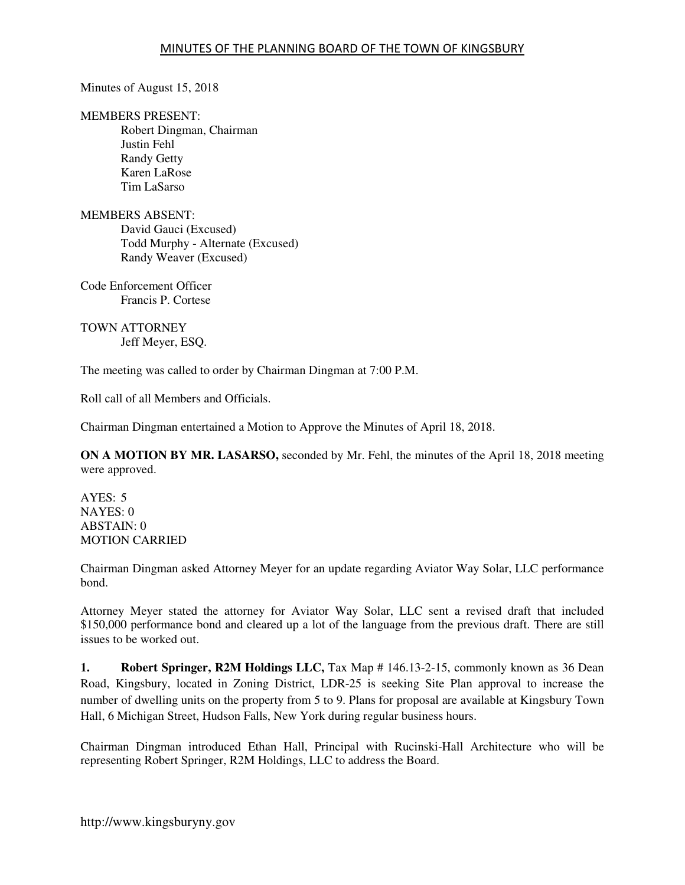Minutes of August 15, 2018

#### MEMBERS PRESENT:

Robert Dingman, Chairman Justin Fehl Randy Getty Karen LaRose Tim LaSarso

#### MEMBERS ABSENT:

David Gauci (Excused) Todd Murphy - Alternate (Excused) Randy Weaver (Excused)

Code Enforcement Officer Francis P. Cortese

TOWN ATTORNEY Jeff Meyer, ESQ.

The meeting was called to order by Chairman Dingman at 7:00 P.M.

Roll call of all Members and Officials.

Chairman Dingman entertained a Motion to Approve the Minutes of April 18, 2018.

**ON A MOTION BY MR. LASARSO,** seconded by Mr. Fehl, the minutes of the April 18, 2018 meeting were approved.

AYES: 5 NAYES: 0  $ABSTAIN: 0$ MOTION CARRIED

Chairman Dingman asked Attorney Meyer for an update regarding Aviator Way Solar, LLC performance bond.

Attorney Meyer stated the attorney for Aviator Way Solar, LLC sent a revised draft that included \$150,000 performance bond and cleared up a lot of the language from the previous draft. There are still issues to be worked out.

**1. Robert Springer, R2M Holdings LLC,** Tax Map # 146.13-2-15, commonly known as 36 Dean Road, Kingsbury, located in Zoning District, LDR-25 is seeking Site Plan approval to increase the number of dwelling units on the property from 5 to 9. Plans for proposal are available at Kingsbury Town Hall, 6 Michigan Street, Hudson Falls, New York during regular business hours.

Chairman Dingman introduced Ethan Hall, Principal with Rucinski-Hall Architecture who will be representing Robert Springer, R2M Holdings, LLC to address the Board.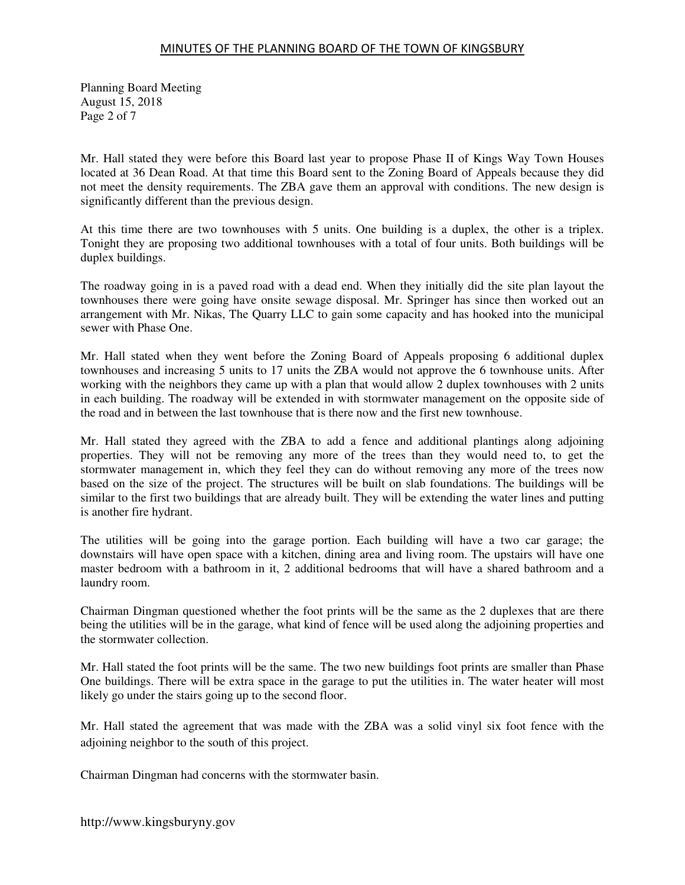Planning Board Meeting August 15, 2018 Page 2 of 7

Mr. Hall stated they were before this Board last year to propose Phase II of Kings Way Town Houses located at 36 Dean Road. At that time this Board sent to the Zoning Board of Appeals because they did not meet the density requirements. The ZBA gave them an approval with conditions. The new design is significantly different than the previous design.

At this time there are two townhouses with 5 units. One building is a duplex, the other is a triplex. Tonight they are proposing two additional townhouses with a total of four units. Both buildings will be duplex buildings.

The roadway going in is a paved road with a dead end. When they initially did the site plan layout the townhouses there were going have onsite sewage disposal. Mr. Springer has since then worked out an arrangement with Mr. Nikas, The Quarry LLC to gain some capacity and has hooked into the municipal sewer with Phase One.

Mr. Hall stated when they went before the Zoning Board of Appeals proposing 6 additional duplex townhouses and increasing 5 units to 17 units the ZBA would not approve the 6 townhouse units. After working with the neighbors they came up with a plan that would allow 2 duplex townhouses with 2 units in each building. The roadway will be extended in with stormwater management on the opposite side of the road and in between the last townhouse that is there now and the first new townhouse.

Mr. Hall stated they agreed with the ZBA to add a fence and additional plantings along adjoining properties. They will not be removing any more of the trees than they would need to, to get the stormwater management in, which they feel they can do without removing any more of the trees now based on the size of the project. The structures will be built on slab foundations. The buildings will be similar to the first two buildings that are already built. They will be extending the water lines and putting is another fire hydrant.

The utilities will be going into the garage portion. Each building will have a two car garage; the downstairs will have open space with a kitchen, dining area and living room. The upstairs will have one master bedroom with a bathroom in it, 2 additional bedrooms that will have a shared bathroom and a laundry room.

Chairman Dingman questioned whether the foot prints will be the same as the 2 duplexes that are there being the utilities will be in the garage, what kind of fence will be used along the adjoining properties and the stormwater collection.

Mr. Hall stated the foot prints will be the same. The two new buildings foot prints are smaller than Phase One buildings. There will be extra space in the garage to put the utilities in. The water heater will most likely go under the stairs going up to the second floor.

Mr. Hall stated the agreement that was made with the ZBA was a solid vinyl six foot fence with the adjoining neighbor to the south of this project.

Chairman Dingman had concerns with the stormwater basin.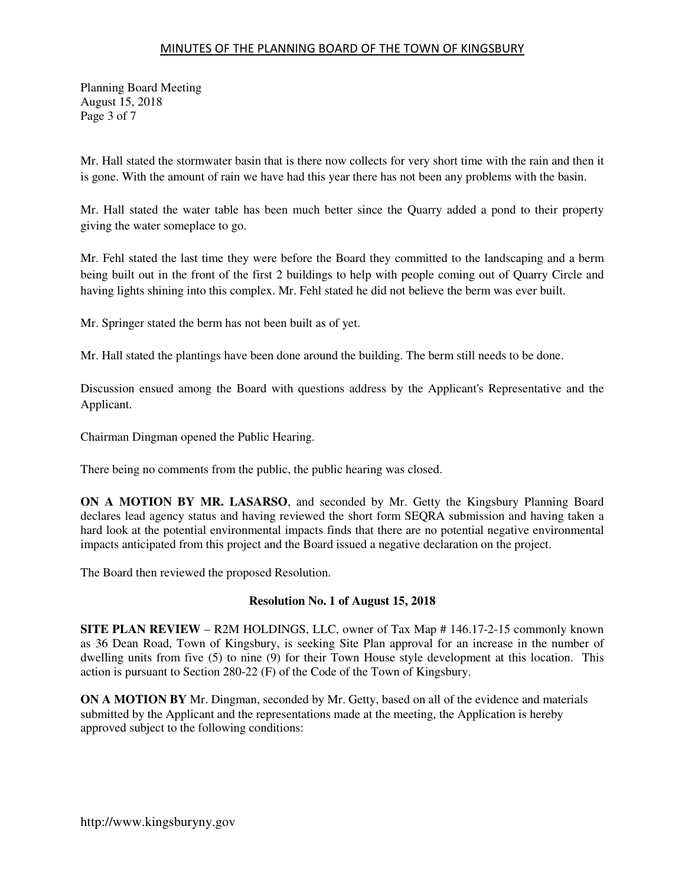Planning Board Meeting August 15, 2018 Page 3 of 7

Mr. Hall stated the stormwater basin that is there now collects for very short time with the rain and then it is gone. With the amount of rain we have had this year there has not been any problems with the basin.

Mr. Hall stated the water table has been much better since the Quarry added a pond to their property giving the water someplace to go.

Mr. Fehl stated the last time they were before the Board they committed to the landscaping and a berm being built out in the front of the first 2 buildings to help with people coming out of Quarry Circle and having lights shining into this complex. Mr. Fehl stated he did not believe the berm was ever built.

Mr. Springer stated the berm has not been built as of yet.

Mr. Hall stated the plantings have been done around the building. The berm still needs to be done.

Discussion ensued among the Board with questions address by the Applicant's Representative and the Applicant.

Chairman Dingman opened the Public Hearing.

There being no comments from the public, the public hearing was closed.

**ON A MOTION BY MR. LASARSO**, and seconded by Mr. Getty the Kingsbury Planning Board declares lead agency status and having reviewed the short form SEQRA submission and having taken a hard look at the potential environmental impacts finds that there are no potential negative environmental impacts anticipated from this project and the Board issued a negative declaration on the project.

The Board then reviewed the proposed Resolution.

#### **Resolution No. 1 of August 15, 2018**

**SITE PLAN REVIEW** – R2M HOLDINGS, LLC, owner of Tax Map # 146.17-2-15 commonly known as 36 Dean Road, Town of Kingsbury, is seeking Site Plan approval for an increase in the number of dwelling units from five (5) to nine (9) for their Town House style development at this location. This action is pursuant to Section 280-22 (F) of the Code of the Town of Kingsbury.

**ON A MOTION BY** Mr. Dingman, seconded by Mr. Getty, based on all of the evidence and materials submitted by the Applicant and the representations made at the meeting, the Application is hereby approved subject to the following conditions: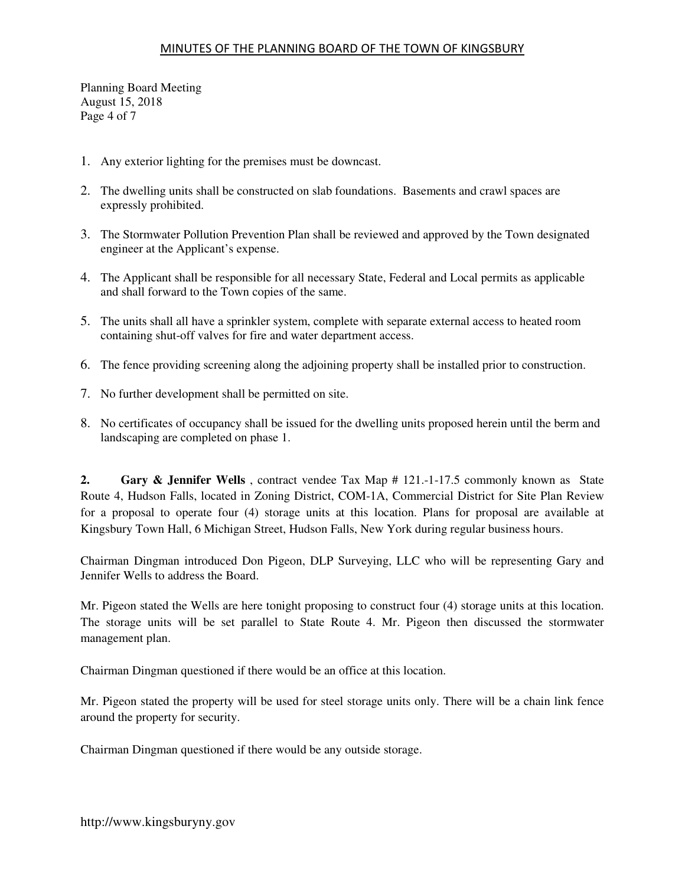Planning Board Meeting August 15, 2018 Page 4 of 7

- 1. Any exterior lighting for the premises must be downcast.
- 2. The dwelling units shall be constructed on slab foundations. Basements and crawl spaces are expressly prohibited.
- 3. The Stormwater Pollution Prevention Plan shall be reviewed and approved by the Town designated engineer at the Applicant's expense.
- 4. The Applicant shall be responsible for all necessary State, Federal and Local permits as applicable and shall forward to the Town copies of the same.
- 5. The units shall all have a sprinkler system, complete with separate external access to heated room containing shut-off valves for fire and water department access.
- 6. The fence providing screening along the adjoining property shall be installed prior to construction.
- 7. No further development shall be permitted on site.
- 8. No certificates of occupancy shall be issued for the dwelling units proposed herein until the berm and landscaping are completed on phase 1.

**2. Gary & Jennifer Wells** , contract vendee Tax Map # 121.-1-17.5 commonly known as State Route 4, Hudson Falls, located in Zoning District, COM-1A, Commercial District for Site Plan Review for a proposal to operate four (4) storage units at this location. Plans for proposal are available at Kingsbury Town Hall, 6 Michigan Street, Hudson Falls, New York during regular business hours.

Chairman Dingman introduced Don Pigeon, DLP Surveying, LLC who will be representing Gary and Jennifer Wells to address the Board.

Mr. Pigeon stated the Wells are here tonight proposing to construct four (4) storage units at this location. The storage units will be set parallel to State Route 4. Mr. Pigeon then discussed the stormwater management plan.

Chairman Dingman questioned if there would be an office at this location.

Mr. Pigeon stated the property will be used for steel storage units only. There will be a chain link fence around the property for security.

Chairman Dingman questioned if there would be any outside storage.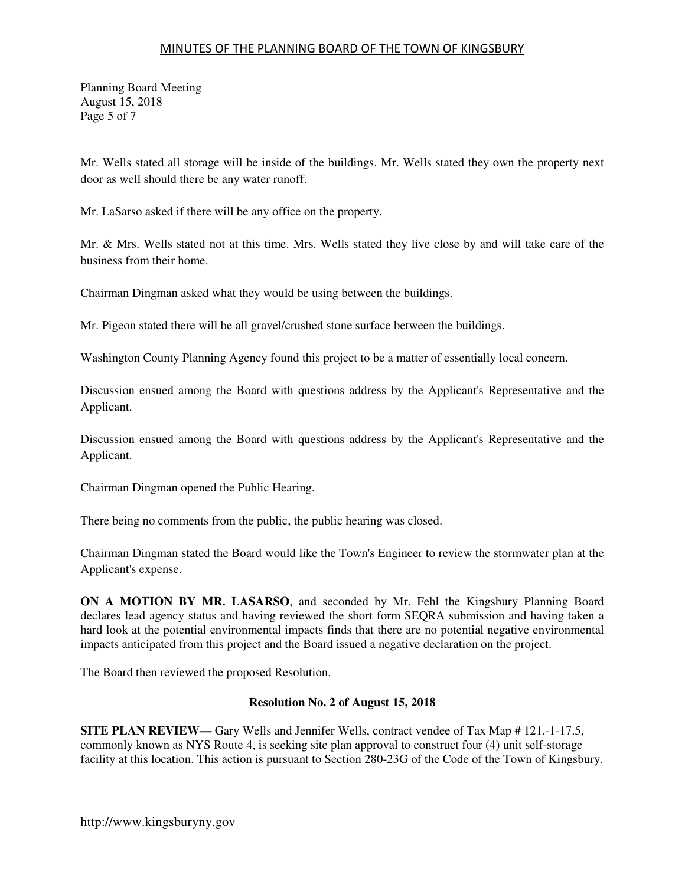Planning Board Meeting August 15, 2018 Page 5 of 7

Mr. Wells stated all storage will be inside of the buildings. Mr. Wells stated they own the property next door as well should there be any water runoff.

Mr. LaSarso asked if there will be any office on the property.

Mr. & Mrs. Wells stated not at this time. Mrs. Wells stated they live close by and will take care of the business from their home.

Chairman Dingman asked what they would be using between the buildings.

Mr. Pigeon stated there will be all gravel/crushed stone surface between the buildings.

Washington County Planning Agency found this project to be a matter of essentially local concern.

Discussion ensued among the Board with questions address by the Applicant's Representative and the Applicant.

Discussion ensued among the Board with questions address by the Applicant's Representative and the Applicant.

Chairman Dingman opened the Public Hearing.

There being no comments from the public, the public hearing was closed.

Chairman Dingman stated the Board would like the Town's Engineer to review the stormwater plan at the Applicant's expense.

**ON A MOTION BY MR. LASARSO**, and seconded by Mr. Fehl the Kingsbury Planning Board declares lead agency status and having reviewed the short form SEQRA submission and having taken a hard look at the potential environmental impacts finds that there are no potential negative environmental impacts anticipated from this project and the Board issued a negative declaration on the project.

The Board then reviewed the proposed Resolution.

#### **Resolution No. 2 of August 15, 2018**

**SITE PLAN REVIEW—** Gary Wells and Jennifer Wells, contract vendee of Tax Map # 121.-1-17.5, commonly known as NYS Route 4, is seeking site plan approval to construct four (4) unit self-storage facility at this location. This action is pursuant to Section 280-23G of the Code of the Town of Kingsbury.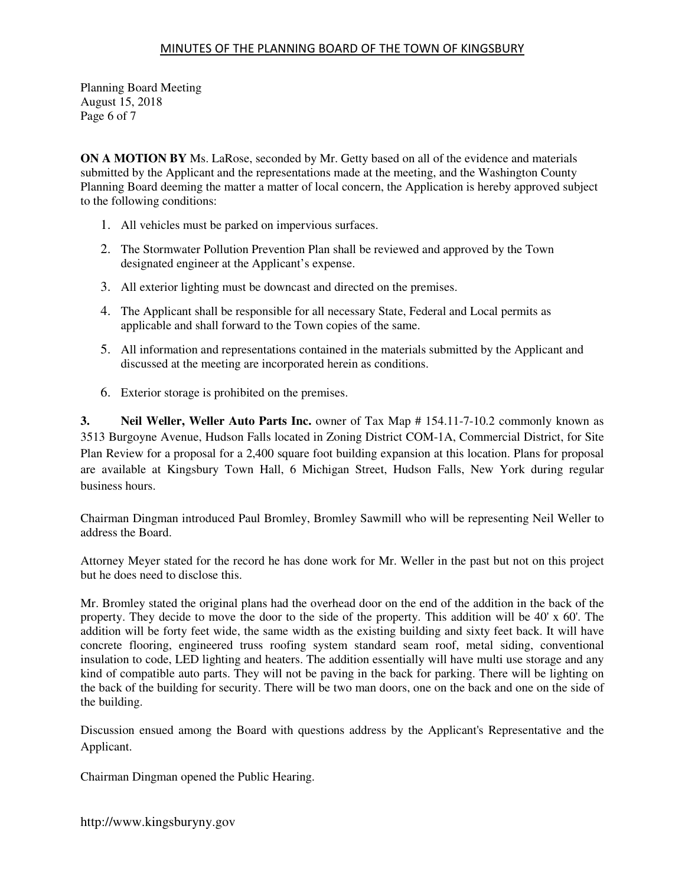Planning Board Meeting August 15, 2018 Page 6 of 7

**ON A MOTION BY** Ms. LaRose, seconded by Mr. Getty based on all of the evidence and materials submitted by the Applicant and the representations made at the meeting, and the Washington County Planning Board deeming the matter a matter of local concern, the Application is hereby approved subject to the following conditions:

- 1. All vehicles must be parked on impervious surfaces.
- 2. The Stormwater Pollution Prevention Plan shall be reviewed and approved by the Town designated engineer at the Applicant's expense.
- 3. All exterior lighting must be downcast and directed on the premises.
- 4. The Applicant shall be responsible for all necessary State, Federal and Local permits as applicable and shall forward to the Town copies of the same.
- 5. All information and representations contained in the materials submitted by the Applicant and discussed at the meeting are incorporated herein as conditions.
- 6. Exterior storage is prohibited on the premises.

**3. Neil Weller, Weller Auto Parts Inc.** owner of Tax Map # 154.11-7-10.2 commonly known as 3513 Burgoyne Avenue, Hudson Falls located in Zoning District COM-1A, Commercial District, for Site Plan Review for a proposal for a 2,400 square foot building expansion at this location. Plans for proposal are available at Kingsbury Town Hall, 6 Michigan Street, Hudson Falls, New York during regular business hours.

Chairman Dingman introduced Paul Bromley, Bromley Sawmill who will be representing Neil Weller to address the Board.

Attorney Meyer stated for the record he has done work for Mr. Weller in the past but not on this project but he does need to disclose this.

Mr. Bromley stated the original plans had the overhead door on the end of the addition in the back of the property. They decide to move the door to the side of the property. This addition will be 40' x 60'. The addition will be forty feet wide, the same width as the existing building and sixty feet back. It will have concrete flooring, engineered truss roofing system standard seam roof, metal siding, conventional insulation to code, LED lighting and heaters. The addition essentially will have multi use storage and any kind of compatible auto parts. They will not be paving in the back for parking. There will be lighting on the back of the building for security. There will be two man doors, one on the back and one on the side of the building.

Discussion ensued among the Board with questions address by the Applicant's Representative and the Applicant.

Chairman Dingman opened the Public Hearing.